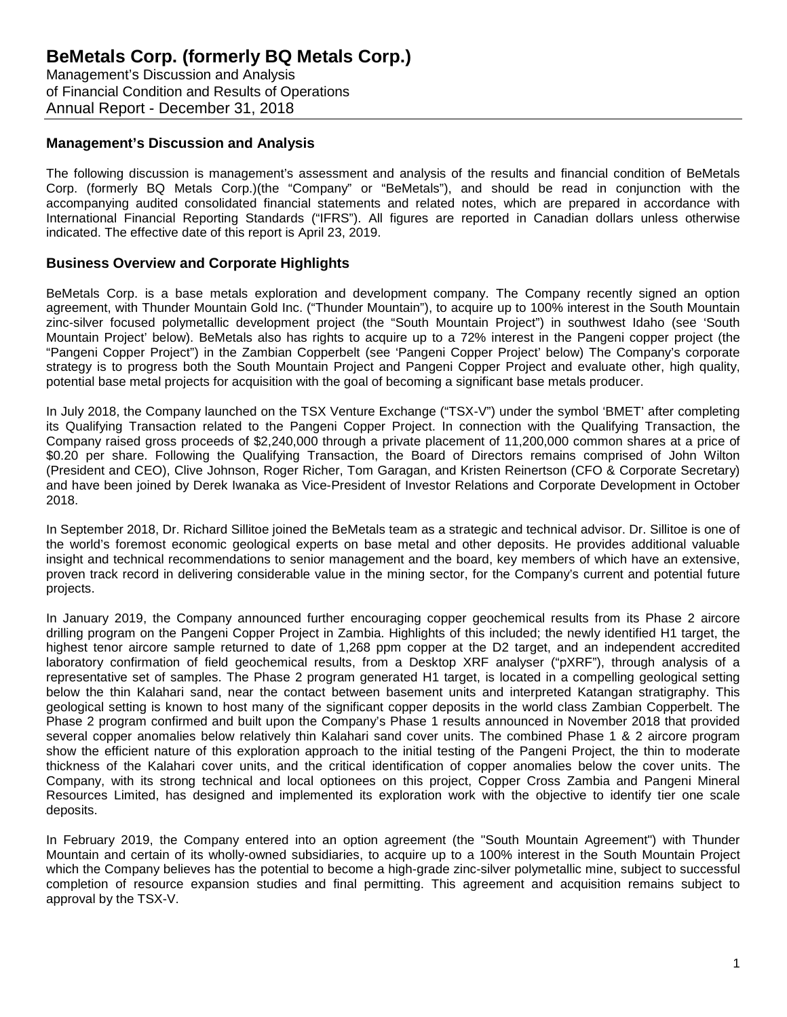Management's Discussion and Analysis of Financial Condition and Results of Operations Annual Report - December 31, 2018

### **Management's Discussion and Analysis**

The following discussion is management's assessment and analysis of the results and financial condition of BeMetals Corp. (formerly BQ Metals Corp.)(the "Company" or "BeMetals"), and should be read in conjunction with the accompanying audited consolidated financial statements and related notes, which are prepared in accordance with International Financial Reporting Standards ("IFRS"). All figures are reported in Canadian dollars unless otherwise indicated. The effective date of this report is April 23, 2019.

### **Business Overview and Corporate Highlights**

BeMetals Corp. is a base metals exploration and development company. The Company recently signed an option agreement, with Thunder Mountain Gold Inc. ("Thunder Mountain"), to acquire up to 100% interest in the South Mountain zinc-silver focused polymetallic development project (the "South Mountain Project") in southwest Idaho (see 'South Mountain Project' below). BeMetals also has rights to acquire up to a 72% interest in the Pangeni copper project (the "Pangeni Copper Project") in the Zambian Copperbelt (see 'Pangeni Copper Project' below) The Company's corporate strategy is to progress both the South Mountain Project and Pangeni Copper Project and evaluate other, high quality, potential base metal projects for acquisition with the goal of becoming a significant base metals producer.

In July 2018, the Company launched on the TSX Venture Exchange ("TSX-V") under the symbol 'BMET' after completing its Qualifying Transaction related to the Pangeni Copper Project. In connection with the Qualifying Transaction, the Company raised gross proceeds of \$2,240,000 through a private placement of 11,200,000 common shares at a price of \$0.20 per share. Following the Qualifying Transaction, the Board of Directors remains comprised of John Wilton (President and CEO), Clive Johnson, Roger Richer, Tom Garagan, and Kristen Reinertson (CFO & Corporate Secretary) and have been joined by Derek Iwanaka as Vice-President of Investor Relations and Corporate Development in October 2018.

In September 2018, Dr. Richard Sillitoe joined the BeMetals team as a strategic and technical advisor. Dr. Sillitoe is one of the world's foremost economic geological experts on base metal and other deposits. He provides additional valuable insight and technical recommendations to senior management and the board, key members of which have an extensive, proven track record in delivering considerable value in the mining sector, for the Company's current and potential future projects.

In January 2019, the Company announced further encouraging copper geochemical results from its Phase 2 aircore drilling program on the Pangeni Copper Project in Zambia. Highlights of this included; the newly identified H1 target, the highest tenor aircore sample returned to date of 1,268 ppm copper at the D2 target, and an independent accredited laboratory confirmation of field geochemical results, from a Desktop XRF analyser ("pXRF"), through analysis of a representative set of samples. The Phase 2 program generated H1 target, is located in a compelling geological setting below the thin Kalahari sand, near the contact between basement units and interpreted Katangan stratigraphy. This geological setting is known to host many of the significant copper deposits in the world class Zambian Copperbelt. The Phase 2 program confirmed and built upon the Company's Phase 1 results announced in November 2018 that provided several copper anomalies below relatively thin Kalahari sand cover units. The combined Phase 1 & 2 aircore program show the efficient nature of this exploration approach to the initial testing of the Pangeni Project, the thin to moderate thickness of the Kalahari cover units, and the critical identification of copper anomalies below the cover units. The Company, with its strong technical and local optionees on this project, Copper Cross Zambia and Pangeni Mineral Resources Limited, has designed and implemented its exploration work with the objective to identify tier one scale deposits.

In February 2019, the Company entered into an option agreement (the "South Mountain Agreement") with Thunder Mountain and certain of its wholly-owned subsidiaries, to acquire up to a 100% interest in the South Mountain Project which the Company believes has the potential to become a high-grade zinc-silver polymetallic mine, subject to successful completion of resource expansion studies and final permitting. This agreement and acquisition remains subject to approval by the TSX-V.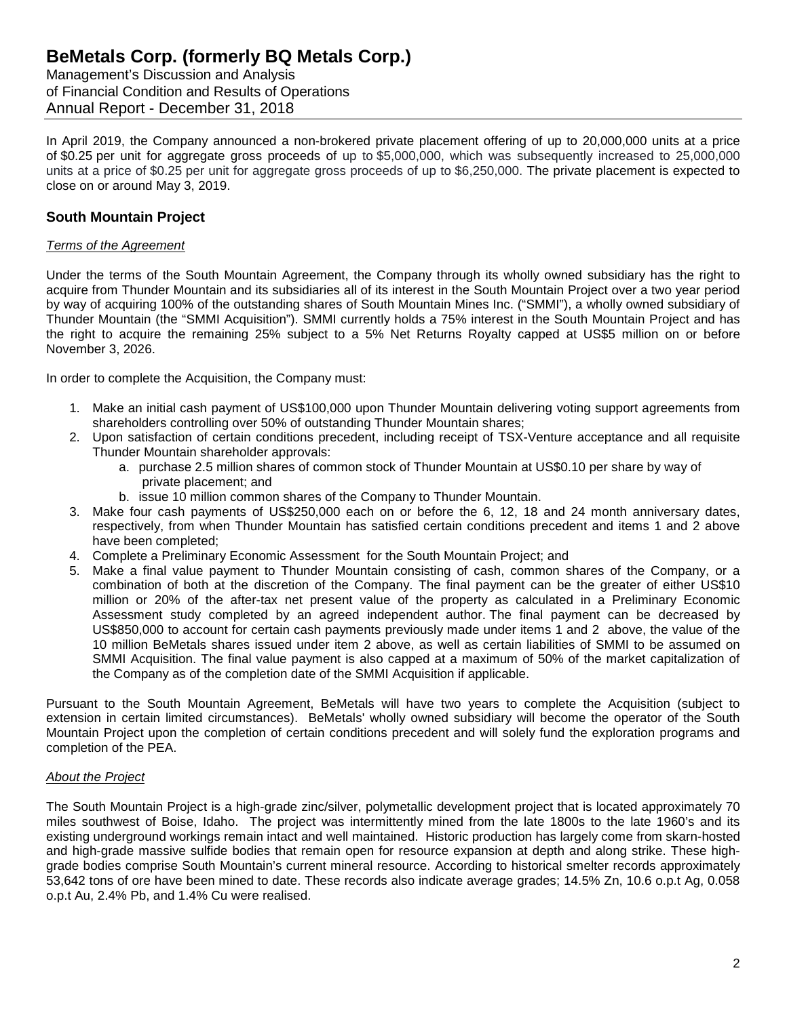Management's Discussion and Analysis of Financial Condition and Results of Operations Annual Report - December 31, 2018

In April 2019, the Company announced a non-brokered private placement offering of up to 20,000,000 units at a price of \$0.25 per unit for aggregate gross proceeds of up to \$5,000,000, which was subsequently increased to 25,000,000 units at a price of \$0.25 per unit for aggregate gross proceeds of up to \$6,250,000. The private placement is expected to close on or around May 3, 2019.

## **South Mountain Project**

### *Terms of the Agreement*

Under the terms of the South Mountain Agreement, the Company through its wholly owned subsidiary has the right to acquire from Thunder Mountain and its subsidiaries all of its interest in the South Mountain Project over a two year period by way of acquiring 100% of the outstanding shares of South Mountain Mines Inc. ("SMMI"), a wholly owned subsidiary of Thunder Mountain (the "SMMI Acquisition"). SMMI currently holds a 75% interest in the South Mountain Project and has the right to acquire the remaining 25% subject to a 5% Net Returns Royalty capped at US\$5 million on or before November 3, 2026.

In order to complete the Acquisition, the Company must:

- 1. Make an initial cash payment of US\$100,000 upon Thunder Mountain delivering voting support agreements from shareholders controlling over 50% of outstanding Thunder Mountain shares;
- 2. Upon satisfaction of certain conditions precedent, including receipt of TSX-Venture acceptance and all requisite Thunder Mountain shareholder approvals:
	- a. purchase 2.5 million shares of common stock of Thunder Mountain at US\$0.10 per share by way of private placement; and
	- b. issue 10 million common shares of the Company to Thunder Mountain.
- 3. Make four cash payments of US\$250,000 each on or before the 6, 12, 18 and 24 month anniversary dates, respectively, from when Thunder Mountain has satisfied certain conditions precedent and items 1 and 2 above have been completed;
- 4. Complete a Preliminary Economic Assessment for the South Mountain Project; and
- 5. Make a final value payment to Thunder Mountain consisting of cash, common shares of the Company, or a combination of both at the discretion of the Company. The final payment can be the greater of either US\$10 million or 20% of the after-tax net present value of the property as calculated in a Preliminary Economic Assessment study completed by an agreed independent author. The final payment can be decreased by US\$850,000 to account for certain cash payments previously made under items 1 and 2 above, the value of the 10 million BeMetals shares issued under item 2 above, as well as certain liabilities of SMMI to be assumed on SMMI Acquisition. The final value payment is also capped at a maximum of 50% of the market capitalization of the Company as of the completion date of the SMMI Acquisition if applicable.

Pursuant to the South Mountain Agreement, BeMetals will have two years to complete the Acquisition (subject to extension in certain limited circumstances). BeMetals' wholly owned subsidiary will become the operator of the South Mountain Project upon the completion of certain conditions precedent and will solely fund the exploration programs and completion of the PEA.

### *About the Project*

The South Mountain Project is a high-grade zinc/silver, polymetallic development project that is located approximately 70 miles southwest of Boise, Idaho. The project was intermittently mined from the late 1800s to the late 1960's and its existing underground workings remain intact and well maintained. Historic production has largely come from skarn-hosted and high-grade massive sulfide bodies that remain open for resource expansion at depth and along strike. These highgrade bodies comprise South Mountain's current mineral resource. According to historical smelter records approximately 53,642 tons of ore have been mined to date. These records also indicate average grades; 14.5% Zn, 10.6 o.p.t Ag, 0.058 o.p.t Au, 2.4% Pb, and 1.4% Cu were realised.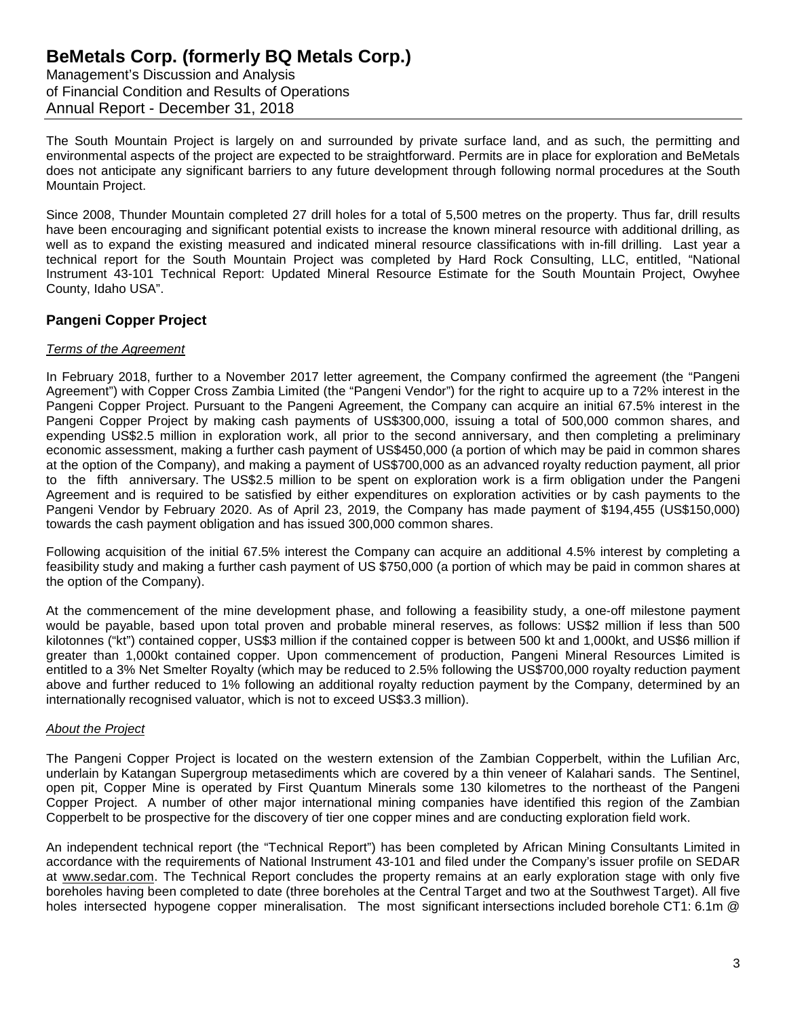Management's Discussion and Analysis of Financial Condition and Results of Operations Annual Report - December 31, 2018

The South Mountain Project is largely on and surrounded by private surface land, and as such, the permitting and environmental aspects of the project are expected to be straightforward. Permits are in place for exploration and BeMetals does not anticipate any significant barriers to any future development through following normal procedures at the South Mountain Project.

Since 2008, Thunder Mountain completed 27 drill holes for a total of 5,500 metres on the property. Thus far, drill results have been encouraging and significant potential exists to increase the known mineral resource with additional drilling, as well as to expand the existing measured and indicated mineral resource classifications with in-fill drilling. Last year a technical report for the South Mountain Project was completed by Hard Rock Consulting, LLC, entitled, "National Instrument 43-101 Technical Report: Updated Mineral Resource Estimate for the South Mountain Project, Owyhee County, Idaho USA".

## **Pangeni Copper Project**

### *Terms of the Agreement*

In February 2018, further to a November 2017 letter agreement, the Company confirmed the agreement (the "Pangeni Agreement") with Copper Cross Zambia Limited (the "Pangeni Vendor") for the right to acquire up to a 72% interest in the Pangeni Copper Project. Pursuant to the Pangeni Agreement, the Company can acquire an initial 67.5% interest in the Pangeni Copper Project by making cash payments of US\$300,000, issuing a total of 500,000 common shares, and expending US\$2.5 million in exploration work, all prior to the second anniversary, and then completing a preliminary economic assessment, making a further cash payment of US\$450,000 (a portion of which may be paid in common shares at the option of the Company), and making a payment of US\$700,000 as an advanced royalty reduction payment, all prior to the fifth anniversary. The US\$2.5 million to be spent on exploration work is a firm obligation under the Pangeni Agreement and is required to be satisfied by either expenditures on exploration activities or by cash payments to the Pangeni Vendor by February 2020. As of April 23, 2019, the Company has made payment of \$194,455 (US\$150,000) towards the cash payment obligation and has issued 300,000 common shares.

Following acquisition of the initial 67.5% interest the Company can acquire an additional 4.5% interest by completing a feasibility study and making a further cash payment of US \$750,000 (a portion of which may be paid in common shares at the option of the Company).

At the commencement of the mine development phase, and following a feasibility study, a one-off milestone payment would be payable, based upon total proven and probable mineral reserves, as follows: US\$2 million if less than 500 kilotonnes ("kt") contained copper, US\$3 million if the contained copper is between 500 kt and 1,000kt, and US\$6 million if greater than 1,000kt contained copper. Upon commencement of production, Pangeni Mineral Resources Limited is entitled to a 3% Net Smelter Royalty (which may be reduced to 2.5% following the US\$700,000 royalty reduction payment above and further reduced to 1% following an additional royalty reduction payment by the Company, determined by an internationally recognised valuator, which is not to exceed US\$3.3 million).

### *About the Project*

The Pangeni Copper Project is located on the western extension of the Zambian Copperbelt, within the Lufilian Arc, underlain by Katangan Supergroup metasediments which are covered by a thin veneer of Kalahari sands. The Sentinel, open pit, Copper Mine is operated by First Quantum Minerals some 130 kilometres to the northeast of the Pangeni Copper Project. A number of other major international mining companies have identified this region of the Zambian Copperbelt to be prospective for the discovery of tier one copper mines and are conducting exploration field work.

An independent technical report (the "Technical Report") has been completed by African Mining Consultants Limited in accordance with the requirements of National Instrument 43-101 and filed under the Company's issuer profile on SEDAR at www.sedar.com. The Technical Report concludes the property remains at an early exploration stage with only five boreholes having been completed to date (three boreholes at the Central Target and two at the Southwest Target). All five holes intersected hypogene copper mineralisation. The most significant intersections included borehole CT1: 6.1m @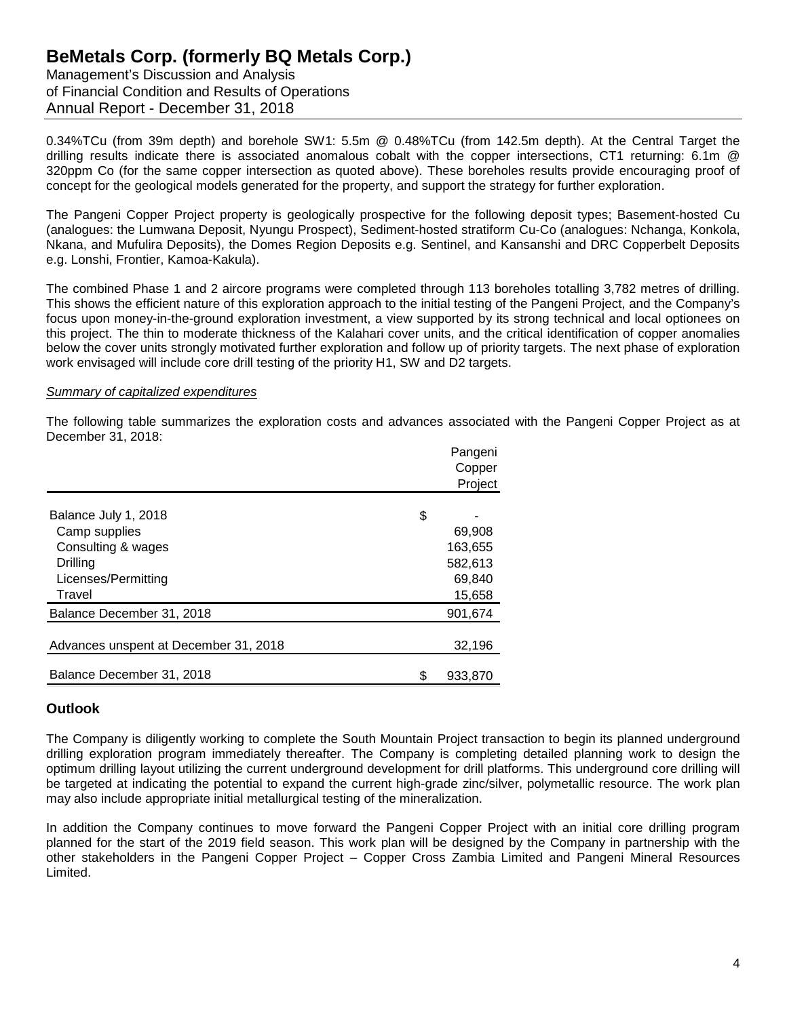Management's Discussion and Analysis of Financial Condition and Results of Operations Annual Report - December 31, 2018

0.34%TCu (from 39m depth) and borehole SW1: 5.5m @ 0.48%TCu (from 142.5m depth). At the Central Target the drilling results indicate there is associated anomalous cobalt with the copper intersections, CT1 returning: 6.1m @ 320ppm Co (for the same copper intersection as quoted above). These boreholes results provide encouraging proof of concept for the geological models generated for the property, and support the strategy for further exploration.

The Pangeni Copper Project property is geologically prospective for the following deposit types; Basement-hosted Cu (analogues: the Lumwana Deposit, Nyungu Prospect), Sediment-hosted stratiform Cu-Co (analogues: Nchanga, Konkola, Nkana, and Mufulira Deposits), the Domes Region Deposits e.g. Sentinel, and Kansanshi and DRC Copperbelt Deposits e.g. Lonshi, Frontier, Kamoa-Kakula).

The combined Phase 1 and 2 aircore programs were completed through 113 boreholes totalling 3,782 metres of drilling. This shows the efficient nature of this exploration approach to the initial testing of the Pangeni Project, and the Company's focus upon money-in-the-ground exploration investment, a view supported by its strong technical and local optionees on this project. The thin to moderate thickness of the Kalahari cover units, and the critical identification of copper anomalies below the cover units strongly motivated further exploration and follow up of priority targets. The next phase of exploration work envisaged will include core drill testing of the priority H1, SW and D2 targets.

### *Summary of capitalized expenditures*

The following table summarizes the exploration costs and advances associated with the Pangeni Copper Project as at December 31, 2018:

|                                       | Pangeni       |
|---------------------------------------|---------------|
|                                       | Copper        |
|                                       | Project       |
|                                       |               |
| Balance July 1, 2018                  | \$            |
| Camp supplies                         | 69,908        |
| Consulting & wages                    | 163,655       |
| Drilling                              | 582,613       |
| Licenses/Permitting                   | 69,840        |
| Travel                                | 15,658        |
| Balance December 31, 2018             | 901,674       |
|                                       |               |
| Advances unspent at December 31, 2018 | 32,196        |
|                                       |               |
| Balance December 31, 2018             | \$<br>933,870 |

## **Outlook**

The Company is diligently working to complete the South Mountain Project transaction to begin its planned underground drilling exploration program immediately thereafter. The Company is completing detailed planning work to design the optimum drilling layout utilizing the current underground development for drill platforms. This underground core drilling will be targeted at indicating the potential to expand the current high-grade zinc/silver, polymetallic resource. The work plan may also include appropriate initial metallurgical testing of the mineralization.

In addition the Company continues to move forward the Pangeni Copper Project with an initial core drilling program planned for the start of the 2019 field season. This work plan will be designed by the Company in partnership with the other stakeholders in the Pangeni Copper Project – Copper Cross Zambia Limited and Pangeni Mineral Resources Limited.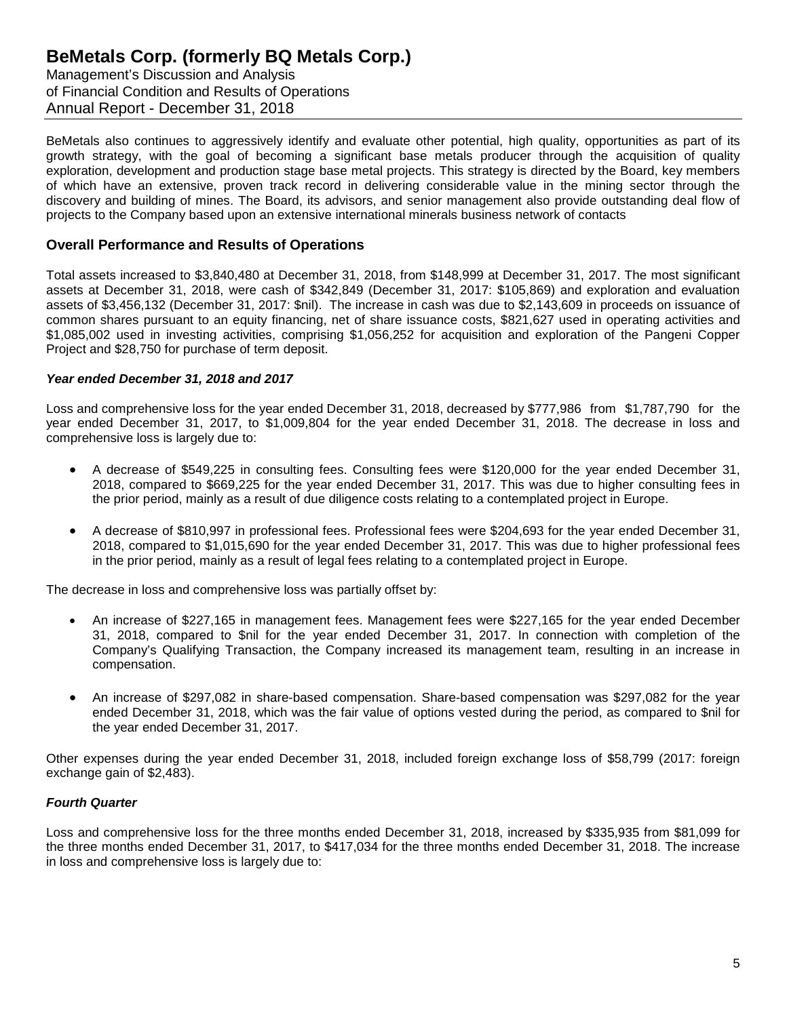Management's Discussion and Analysis of Financial Condition and Results of Operations Annual Report - December 31, 2018

BeMetals also continues to aggressively identify and evaluate other potential, high quality, opportunities as part of its growth strategy, with the goal of becoming a significant base metals producer through the acquisition of quality exploration, development and production stage base metal projects. This strategy is directed by the Board, key members of which have an extensive, proven track record in delivering considerable value in the mining sector through the discovery and building of mines. The Board, its advisors, and senior management also provide outstanding deal flow of projects to the Company based upon an extensive international minerals business network of contacts

### **Overall Performance and Results of Operations**

Total assets increased to \$3,840,480 at December 31, 2018, from \$148,999 at December 31, 2017. The most significant assets at December 31, 2018, were cash of \$342,849 (December 31, 2017: \$105,869) and exploration and evaluation assets of \$3,456,132 (December 31, 2017: \$nil). The increase in cash was due to \$2,143,609 in proceeds on issuance of common shares pursuant to an equity financing, net of share issuance costs, \$821,627 used in operating activities and \$1,085,002 used in investing activities, comprising \$1,056,252 for acquisition and exploration of the Pangeni Copper Project and \$28,750 for purchase of term deposit.

### *Year ended December 31, 2018 and 2017*

Loss and comprehensive loss for the year ended December 31, 2018, decreased by \$777,986 from \$1,787,790 for the year ended December 31, 2017, to \$1,009,804 for the year ended December 31, 2018. The decrease in loss and comprehensive loss is largely due to:

- A decrease of \$549,225 in consulting fees. Consulting fees were \$120,000 for the year ended December 31, 2018, compared to \$669,225 for the year ended December 31, 2017. This was due to higher consulting fees in the prior period, mainly as a result of due diligence costs relating to a contemplated project in Europe.
- A decrease of \$810,997 in professional fees. Professional fees were \$204,693 for the year ended December 31, 2018, compared to \$1,015,690 for the year ended December 31, 2017. This was due to higher professional fees in the prior period, mainly as a result of legal fees relating to a contemplated project in Europe.

The decrease in loss and comprehensive loss was partially offset by:

- An increase of \$227,165 in management fees. Management fees were \$227,165 for the year ended December 31, 2018, compared to \$nil for the year ended December 31, 2017. In connection with completion of the Company's Qualifying Transaction, the Company increased its management team, resulting in an increase in compensation.
- An increase of \$297,082 in share-based compensation. Share-based compensation was \$297,082 for the year ended December 31, 2018, which was the fair value of options vested during the period, as compared to \$nil for the year ended December 31, 2017.

Other expenses during the year ended December 31, 2018, included foreign exchange loss of \$58,799 (2017: foreign exchange gain of \$2,483).

### *Fourth Quarter*

Loss and comprehensive loss for the three months ended December 31, 2018, increased by \$335,935 from \$81,099 for the three months ended December 31, 2017, to \$417,034 for the three months ended December 31, 2018. The increase in loss and comprehensive loss is largely due to: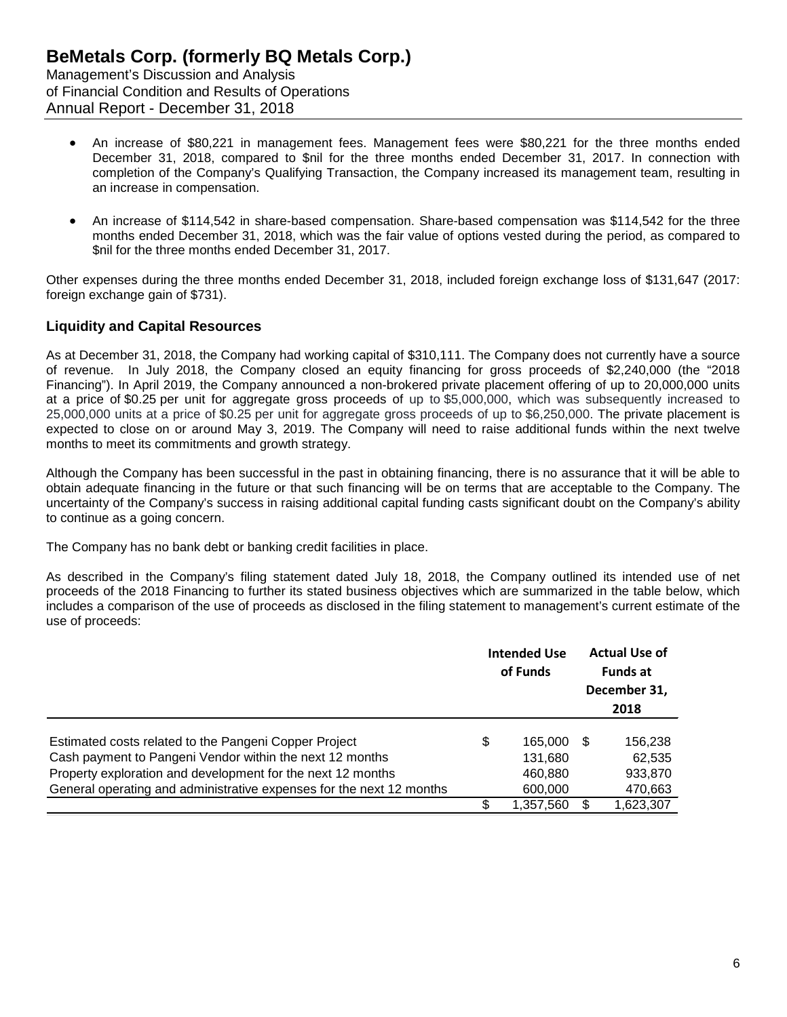- An increase of \$80,221 in management fees. Management fees were \$80,221 for the three months ended December 31, 2018, compared to \$nil for the three months ended December 31, 2017. In connection with completion of the Company's Qualifying Transaction, the Company increased its management team, resulting in an increase in compensation.
- An increase of \$114,542 in share-based compensation. Share-based compensation was \$114,542 for the three months ended December 31, 2018, which was the fair value of options vested during the period, as compared to \$nil for the three months ended December 31, 2017.

Other expenses during the three months ended December 31, 2018, included foreign exchange loss of \$131,647 (2017: foreign exchange gain of \$731).

## **Liquidity and Capital Resources**

As at December 31, 2018, the Company had working capital of \$310,111. The Company does not currently have a source of revenue. In July 2018, the Company closed an equity financing for gross proceeds of \$2,240,000 (the "2018 Financing"). In April 2019, the Company announced a non-brokered private placement offering of up to 20,000,000 units at a price of \$0.25 per unit for aggregate gross proceeds of up to \$5,000,000, which was subsequently increased to 25,000,000 units at a price of \$0.25 per unit for aggregate gross proceeds of up to \$6,250,000. The private placement is expected to close on or around May 3, 2019. The Company will need to raise additional funds within the next twelve months to meet its commitments and growth strategy.

Although the Company has been successful in the past in obtaining financing, there is no assurance that it will be able to obtain adequate financing in the future or that such financing will be on terms that are acceptable to the Company. The uncertainty of the Company's success in raising additional capital funding casts significant doubt on the Company's ability to continue as a going concern.

The Company has no bank debt or banking credit facilities in place.

As described in the Company's filing statement dated July 18, 2018, the Company outlined its intended use of net proceeds of the 2018 Financing to further its stated business objectives which are summarized in the table below, which includes a comparison of the use of proceeds as disclosed in the filing statement to management's current estimate of the use of proceeds:

|                                                                      | <b>Intended Use</b><br>of Funds | <b>Actual Use of</b><br><b>Funds at</b><br>December 31,<br>2018 |
|----------------------------------------------------------------------|---------------------------------|-----------------------------------------------------------------|
| Estimated costs related to the Pangeni Copper Project                | \$<br>165,000                   | 156,238                                                         |
| Cash payment to Pangeni Vendor within the next 12 months             | 131,680                         | 62,535                                                          |
| Property exploration and development for the next 12 months          | 460,880                         | 933,870                                                         |
| General operating and administrative expenses for the next 12 months | 600,000                         | 470,663                                                         |
|                                                                      | 1,357,560                       | 1,623,307                                                       |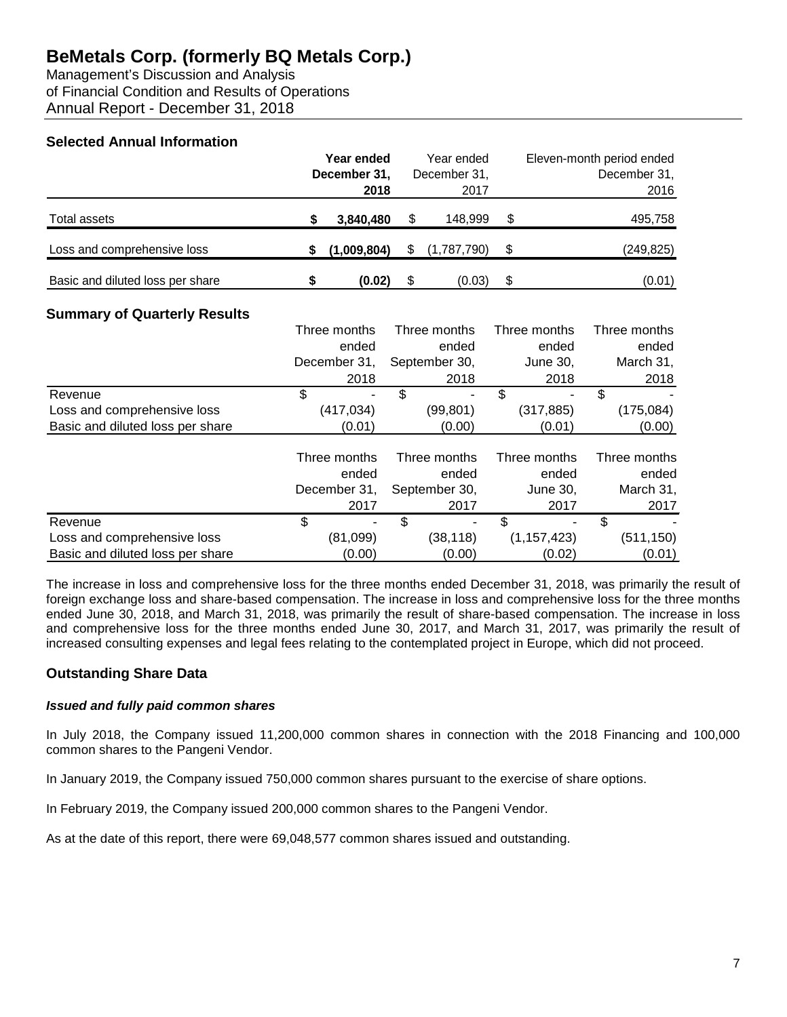Management's Discussion and Analysis of Financial Condition and Results of Operations Annual Report - December 31, 2018

## **Selected Annual Information**

|                                  | Year ended<br>December 31, |             | Year ended<br>December 31, |             | Eleven-month period ended<br>December 31, |            |
|----------------------------------|----------------------------|-------------|----------------------------|-------------|-------------------------------------------|------------|
|                                  |                            | 2018        |                            | 2017        |                                           | 2016       |
| Total assets                     |                            | 3,840,480   |                            | 148.999     | S                                         | 495,758    |
| Loss and comprehensive loss      |                            | (1,009,804) |                            | (1,787,790) |                                           | (249, 825) |
| Basic and diluted loss per share |                            | (0.02)      |                            | (0.03)      | \$                                        | (0.01)     |

## **Summary of Quarterly Results**

|                                  | Three months | Three months  | Three months  | Three months |
|----------------------------------|--------------|---------------|---------------|--------------|
|                                  | ended        | ended         | ended         | ended        |
|                                  | December 31, | September 30, | June 30,      | March 31,    |
|                                  | 2018         | 2018          | 2018          | 2018         |
| Revenue                          | \$<br>۰      | \$            | \$            | \$           |
| Loss and comprehensive loss      | (417, 034)   | (99,801)      | (317, 885)    | (175, 084)   |
| Basic and diluted loss per share | (0.01)       | (0.00)        | (0.01)        | (0.00)       |
|                                  | Three months | Three months  | Three months  | Three months |
|                                  | ended        | ended         | ended         | ended        |
|                                  | December 31, | September 30, | June 30,      | March 31,    |
|                                  | 2017         | 2017          | 2017          | 2017         |
| Revenue                          | \$           | \$<br>۰       | \$            | \$           |
| Loss and comprehensive loss      | (81,099)     | (38, 118)     | (1, 157, 423) | (511, 150)   |
| Basic and diluted loss per share | (0.00)       | (0.00)        | (0.02)        | (0.01)       |

The increase in loss and comprehensive loss for the three months ended December 31, 2018, was primarily the result of foreign exchange loss and share-based compensation. The increase in loss and comprehensive loss for the three months ended June 30, 2018, and March 31, 2018, was primarily the result of share-based compensation. The increase in loss and comprehensive loss for the three months ended June 30, 2017, and March 31, 2017, was primarily the result of increased consulting expenses and legal fees relating to the contemplated project in Europe, which did not proceed.

## **Outstanding Share Data**

### *Issued and fully paid common shares*

In July 2018, the Company issued 11,200,000 common shares in connection with the 2018 Financing and 100,000 common shares to the Pangeni Vendor.

In January 2019, the Company issued 750,000 common shares pursuant to the exercise of share options.

In February 2019, the Company issued 200,000 common shares to the Pangeni Vendor.

As at the date of this report, there were 69,048,577 common shares issued and outstanding.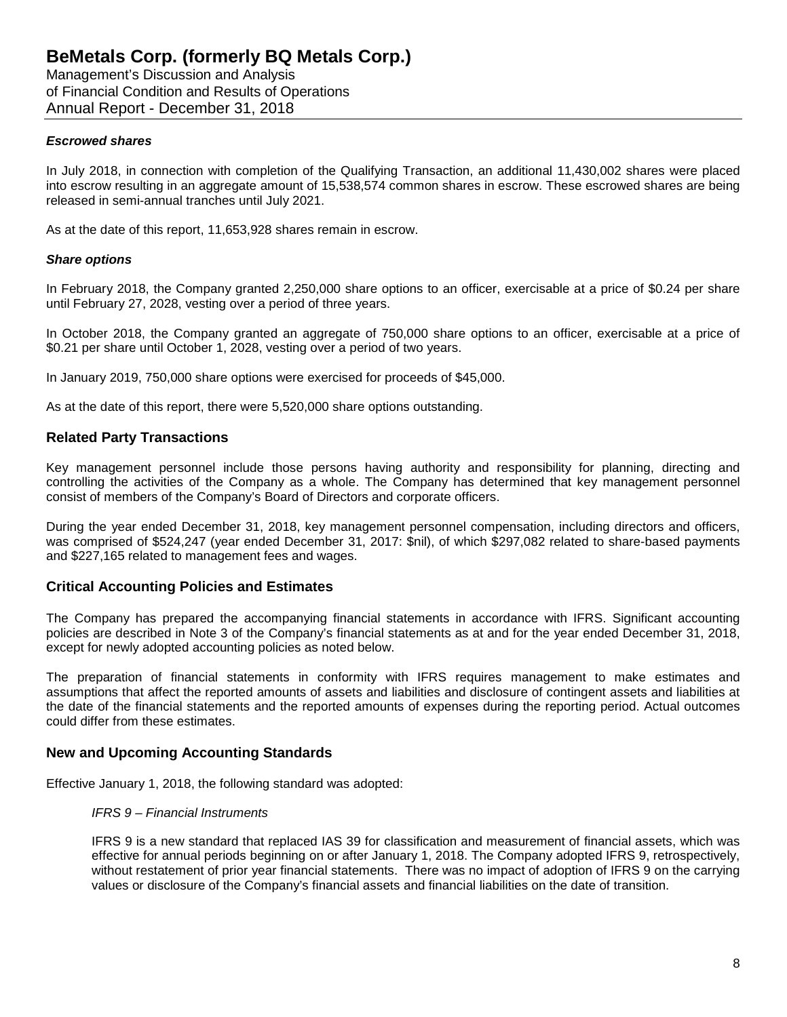Management's Discussion and Analysis of Financial Condition and Results of Operations Annual Report - December 31, 2018

### *Escrowed shares*

In July 2018, in connection with completion of the Qualifying Transaction, an additional 11,430,002 shares were placed into escrow resulting in an aggregate amount of 15,538,574 common shares in escrow. These escrowed shares are being released in semi-annual tranches until July 2021.

As at the date of this report, 11,653,928 shares remain in escrow.

### *Share options*

In February 2018, the Company granted 2,250,000 share options to an officer, exercisable at a price of \$0.24 per share until February 27, 2028, vesting over a period of three years.

In October 2018, the Company granted an aggregate of 750,000 share options to an officer, exercisable at a price of \$0.21 per share until October 1, 2028, vesting over a period of two years.

In January 2019, 750,000 share options were exercised for proceeds of \$45,000.

As at the date of this report, there were 5,520,000 share options outstanding.

### **Related Party Transactions**

Key management personnel include those persons having authority and responsibility for planning, directing and controlling the activities of the Company as a whole. The Company has determined that key management personnel consist of members of the Company's Board of Directors and corporate officers.

During the year ended December 31, 2018, key management personnel compensation, including directors and officers, was comprised of \$524,247 (year ended December 31, 2017: \$nil), of which \$297,082 related to share-based payments and \$227,165 related to management fees and wages.

### **Critical Accounting Policies and Estimates**

The Company has prepared the accompanying financial statements in accordance with IFRS. Significant accounting policies are described in Note 3 of the Company's financial statements as at and for the year ended December 31, 2018, except for newly adopted accounting policies as noted below.

The preparation of financial statements in conformity with IFRS requires management to make estimates and assumptions that affect the reported amounts of assets and liabilities and disclosure of contingent assets and liabilities at the date of the financial statements and the reported amounts of expenses during the reporting period. Actual outcomes could differ from these estimates.

### **New and Upcoming Accounting Standards**

Effective January 1, 2018, the following standard was adopted:

## *IFRS 9 – Financial Instruments*

IFRS 9 is a new standard that replaced IAS 39 for classification and measurement of financial assets, which was effective for annual periods beginning on or after January 1, 2018. The Company adopted IFRS 9, retrospectively, without restatement of prior year financial statements. There was no impact of adoption of IFRS 9 on the carrying values or disclosure of the Company's financial assets and financial liabilities on the date of transition.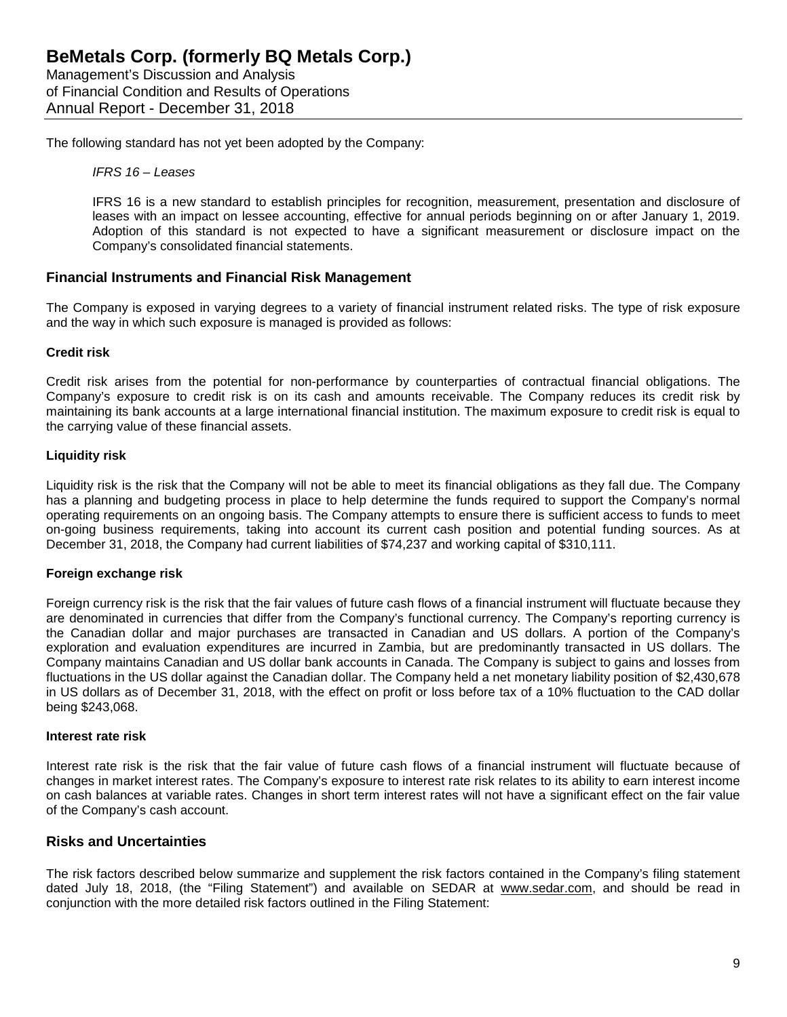The following standard has not yet been adopted by the Company:

*IFRS 16 – Leases*

IFRS 16 is a new standard to establish principles for recognition, measurement, presentation and disclosure of leases with an impact on lessee accounting, effective for annual periods beginning on or after January 1, 2019. Adoption of this standard is not expected to have a significant measurement or disclosure impact on the Company's consolidated financial statements.

### **Financial Instruments and Financial Risk Management**

The Company is exposed in varying degrees to a variety of financial instrument related risks. The type of risk exposure and the way in which such exposure is managed is provided as follows:

### **Credit risk**

Credit risk arises from the potential for non-performance by counterparties of contractual financial obligations. The Company's exposure to credit risk is on its cash and amounts receivable. The Company reduces its credit risk by maintaining its bank accounts at a large international financial institution. The maximum exposure to credit risk is equal to the carrying value of these financial assets.

### **Liquidity risk**

Liquidity risk is the risk that the Company will not be able to meet its financial obligations as they fall due. The Company has a planning and budgeting process in place to help determine the funds required to support the Company's normal operating requirements on an ongoing basis. The Company attempts to ensure there is sufficient access to funds to meet on-going business requirements, taking into account its current cash position and potential funding sources. As at December 31, 2018, the Company had current liabilities of \$74,237 and working capital of \$310,111.

### **Foreign exchange risk**

Foreign currency risk is the risk that the fair values of future cash flows of a financial instrument will fluctuate because they are denominated in currencies that differ from the Company's functional currency. The Company's reporting currency is the Canadian dollar and major purchases are transacted in Canadian and US dollars. A portion of the Company's exploration and evaluation expenditures are incurred in Zambia, but are predominantly transacted in US dollars. The Company maintains Canadian and US dollar bank accounts in Canada. The Company is subject to gains and losses from fluctuations in the US dollar against the Canadian dollar. The Company held a net monetary liability position of \$2,430,678 in US dollars as of December 31, 2018, with the effect on profit or loss before tax of a 10% fluctuation to the CAD dollar being \$243,068.

### **Interest rate risk**

Interest rate risk is the risk that the fair value of future cash flows of a financial instrument will fluctuate because of changes in market interest rates. The Company's exposure to interest rate risk relates to its ability to earn interest income on cash balances at variable rates. Changes in short term interest rates will not have a significant effect on the fair value of the Company's cash account.

### **Risks and Uncertainties**

The risk factors described below summarize and supplement the risk factors contained in the Company's filing statement dated July 18, 2018, (the "Filing Statement") and available on SEDAR at www.sedar.com, and should be read in conjunction with the more detailed risk factors outlined in the Filing Statement: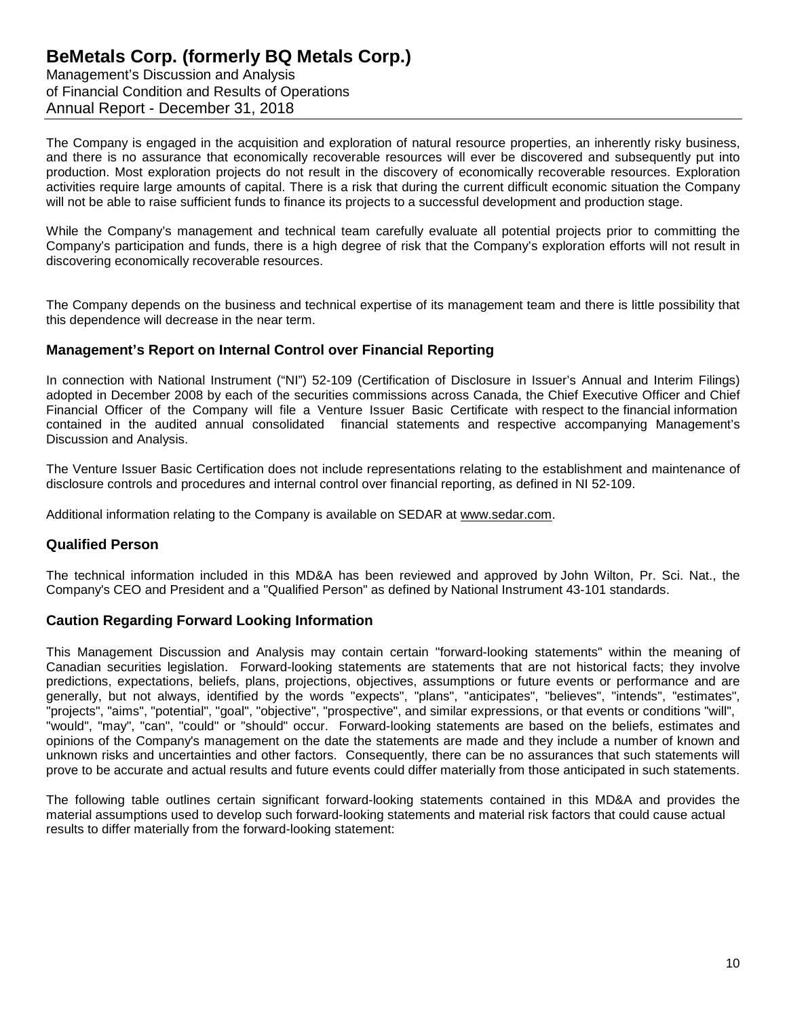Management's Discussion and Analysis of Financial Condition and Results of Operations Annual Report - December 31, 2018

The Company is engaged in the acquisition and exploration of natural resource properties, an inherently risky business, and there is no assurance that economically recoverable resources will ever be discovered and subsequently put into production. Most exploration projects do not result in the discovery of economically recoverable resources. Exploration activities require large amounts of capital. There is a risk that during the current difficult economic situation the Company will not be able to raise sufficient funds to finance its projects to a successful development and production stage.

While the Company's management and technical team carefully evaluate all potential projects prior to committing the Company's participation and funds, there is a high degree of risk that the Company's exploration efforts will not result in discovering economically recoverable resources.

The Company depends on the business and technical expertise of its management team and there is little possibility that this dependence will decrease in the near term.

### **Management's Report on Internal Control over Financial Reporting**

In connection with National Instrument ("NI") 52-109 (Certification of Disclosure in Issuer's Annual and Interim Filings) adopted in December 2008 by each of the securities commissions across Canada, the Chief Executive Officer and Chief Financial Officer of the Company will file a Venture Issuer Basic Certificate with respect to the financial information contained in the audited annual consolidated financial statements and respective accompanying Management's Discussion and Analysis.

The Venture Issuer Basic Certification does not include representations relating to the establishment and maintenance of disclosure controls and procedures and internal control over financial reporting, as defined in NI 52-109.

Additional information relating to the Company is available on SEDAR at [www.sedar.com.](http://www.sedar.com/)

### **Qualified Person**

The technical information included in this MD&A has been reviewed and approved by John Wilton, Pr. Sci. Nat., the Company's CEO and President and a "Qualified Person" as defined by National Instrument 43-101 standards.

### **Caution Regarding Forward Looking Information**

This Management Discussion and Analysis may contain certain "forward-looking statements" within the meaning of Canadian securities legislation. Forward-looking statements are statements that are not historical facts; they involve predictions, expectations, beliefs, plans, projections, objectives, assumptions or future events or performance and are generally, but not always, identified by the words "expects", "plans", "anticipates", "believes", "intends", "estimates", "projects", "aims", "potential", "goal", "objective", "prospective", and similar expressions, or that events or conditions "will", "would", "may", "can", "could" or "should" occur. Forward-looking statements are based on the beliefs, estimates and opinions of the Company's management on the date the statements are made and they include a number of known and unknown risks and uncertainties and other factors. Consequently, there can be no assurances that such statements will prove to be accurate and actual results and future events could differ materially from those anticipated in such statements.

The following table outlines certain significant forward-looking statements contained in this MD&A and provides the material assumptions used to develop such forward-looking statements and material risk factors that could cause actual results to differ materially from the forward-looking statement: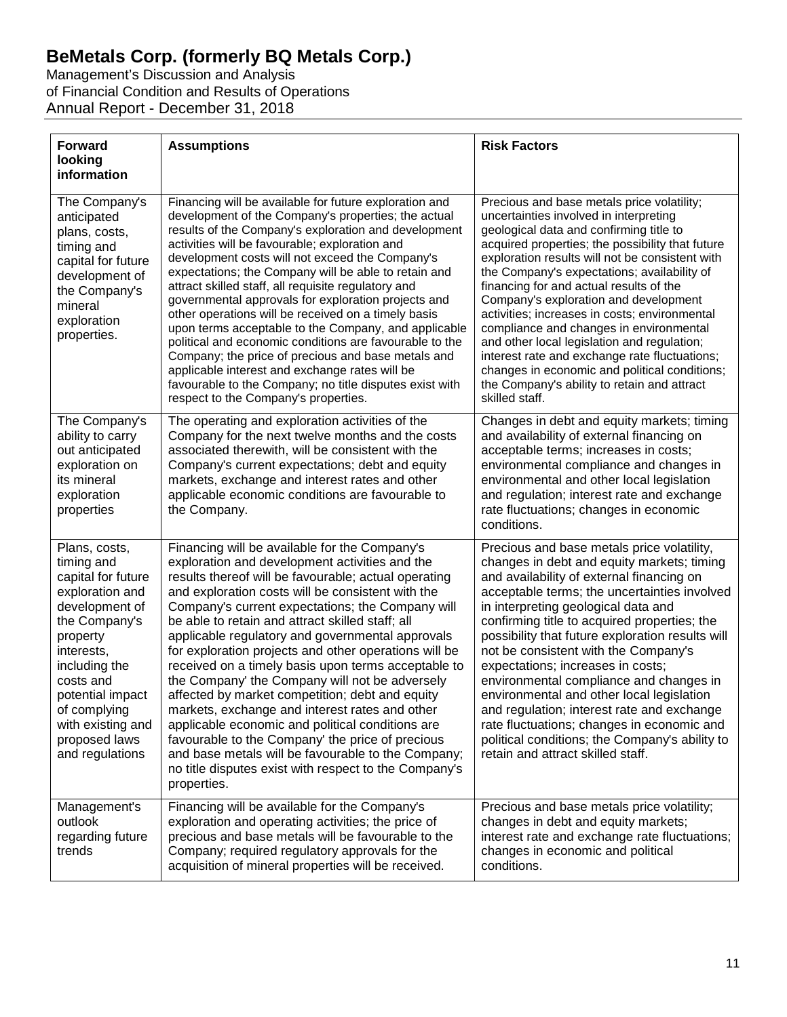Management's Discussion and Analysis of Financial Condition and Results of Operations Annual Report - December 31, 2018

| <b>Forward</b><br>looking<br>information                                                                                                                                                                                                                     | <b>Assumptions</b>                                                                                                                                                                                                                                                                                                                                                                                                                                                                                                                                                                                                                                                                                                                                                                                                                                                                    | <b>Risk Factors</b>                                                                                                                                                                                                                                                                                                                                                                                                                                                                                                                                                                                                                                                                      |
|--------------------------------------------------------------------------------------------------------------------------------------------------------------------------------------------------------------------------------------------------------------|---------------------------------------------------------------------------------------------------------------------------------------------------------------------------------------------------------------------------------------------------------------------------------------------------------------------------------------------------------------------------------------------------------------------------------------------------------------------------------------------------------------------------------------------------------------------------------------------------------------------------------------------------------------------------------------------------------------------------------------------------------------------------------------------------------------------------------------------------------------------------------------|------------------------------------------------------------------------------------------------------------------------------------------------------------------------------------------------------------------------------------------------------------------------------------------------------------------------------------------------------------------------------------------------------------------------------------------------------------------------------------------------------------------------------------------------------------------------------------------------------------------------------------------------------------------------------------------|
| The Company's<br>anticipated<br>plans, costs,<br>timing and<br>capital for future<br>development of<br>the Company's<br>mineral<br>exploration<br>properties.                                                                                                | Financing will be available for future exploration and<br>development of the Company's properties; the actual<br>results of the Company's exploration and development<br>activities will be favourable; exploration and<br>development costs will not exceed the Company's<br>expectations; the Company will be able to retain and<br>attract skilled staff, all requisite regulatory and<br>governmental approvals for exploration projects and<br>other operations will be received on a timely basis<br>upon terms acceptable to the Company, and applicable<br>political and economic conditions are favourable to the<br>Company; the price of precious and base metals and<br>applicable interest and exchange rates will be<br>favourable to the Company; no title disputes exist with<br>respect to the Company's properties.                                                 | Precious and base metals price volatility;<br>uncertainties involved in interpreting<br>geological data and confirming title to<br>acquired properties; the possibility that future<br>exploration results will not be consistent with<br>the Company's expectations; availability of<br>financing for and actual results of the<br>Company's exploration and development<br>activities; increases in costs; environmental<br>compliance and changes in environmental<br>and other local legislation and regulation;<br>interest rate and exchange rate fluctuations;<br>changes in economic and political conditions;<br>the Company's ability to retain and attract<br>skilled staff.  |
| The Company's<br>ability to carry<br>out anticipated<br>exploration on<br>its mineral<br>exploration<br>properties                                                                                                                                           | The operating and exploration activities of the<br>Company for the next twelve months and the costs<br>associated therewith, will be consistent with the<br>Company's current expectations; debt and equity<br>markets, exchange and interest rates and other<br>applicable economic conditions are favourable to<br>the Company.                                                                                                                                                                                                                                                                                                                                                                                                                                                                                                                                                     | Changes in debt and equity markets; timing<br>and availability of external financing on<br>acceptable terms; increases in costs;<br>environmental compliance and changes in<br>environmental and other local legislation<br>and regulation; interest rate and exchange<br>rate fluctuations; changes in economic<br>conditions.                                                                                                                                                                                                                                                                                                                                                          |
| Plans, costs,<br>timing and<br>capital for future<br>exploration and<br>development of<br>the Company's<br>property<br>interests,<br>including the<br>costs and<br>potential impact<br>of complying<br>with existing and<br>proposed laws<br>and regulations | Financing will be available for the Company's<br>exploration and development activities and the<br>results thereof will be favourable; actual operating<br>and exploration costs will be consistent with the<br>Company's current expectations; the Company will<br>be able to retain and attract skilled staff; all<br>applicable regulatory and governmental approvals<br>for exploration projects and other operations will be<br>received on a timely basis upon terms acceptable to<br>the Company' the Company will not be adversely<br>affected by market competition; debt and equity<br>markets, exchange and interest rates and other<br>applicable economic and political conditions are<br>favourable to the Company' the price of precious<br>and base metals will be favourable to the Company;<br>no title disputes exist with respect to the Company's<br>properties. | Precious and base metals price volatility,<br>changes in debt and equity markets; timing<br>and availability of external financing on<br>acceptable terms; the uncertainties involved<br>in interpreting geological data and<br>confirming title to acquired properties; the<br>possibility that future exploration results will<br>not be consistent with the Company's<br>expectations; increases in costs;<br>environmental compliance and changes in<br>environmental and other local legislation<br>and regulation; interest rate and exchange<br>rate fluctuations; changes in economic and<br>political conditions; the Company's ability to<br>retain and attract skilled staff. |
| Management's<br>outlook<br>regarding future<br>trends                                                                                                                                                                                                        | Financing will be available for the Company's<br>exploration and operating activities; the price of<br>precious and base metals will be favourable to the<br>Company; required regulatory approvals for the<br>acquisition of mineral properties will be received.                                                                                                                                                                                                                                                                                                                                                                                                                                                                                                                                                                                                                    | Precious and base metals price volatility;<br>changes in debt and equity markets;<br>interest rate and exchange rate fluctuations;<br>changes in economic and political<br>conditions.                                                                                                                                                                                                                                                                                                                                                                                                                                                                                                   |